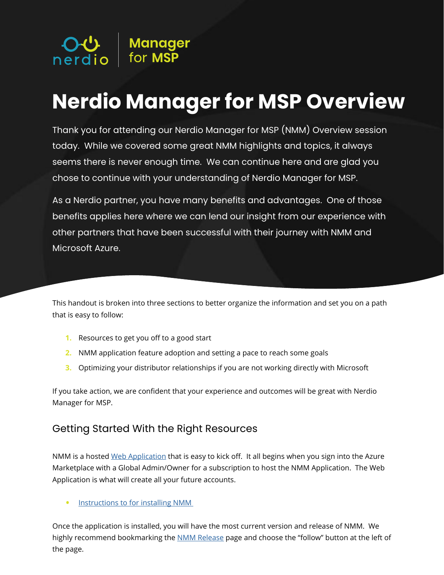

# **Nerdio Manager for MSP Overview**

Thank you for attending our Nerdio Manager for MSP (NMM) Overview session today. While we covered some great NMM highlights and topics, it always seems there is never enough time. We can continue here and are glad you chose to continue with your understanding of Nerdio Manager for MSP.

As a Nerdio partner, you have many benefits and advantages. One of those benefits applies here where we can lend our insight from our experience with other partners that have been successful with their journey with NMM and Microsoft Azure.

This handout is broken into three sections to better organize the information and set you on a path that is easy to follow:

- **1.** Resources to get you off to a good start
- **2.** NMM application feature adoption and setting a pace to reach some goals
- **3.** Optimizing your distributor relationships if you are not working directly with Microsoft

If you take action, we are confident that your experience and outcomes will be great with Nerdio Manager for MSP.

#### Getting Started With the Right Resources

NMM is a hosted [Web Application](https://docs.microsoft.com/en-us/azure/app-service/overview) that is easy to kick off. It all begins when you sign into the Azure Marketplace with a Global Admin/Owner for a subscription to host the NMM Application. The Web Application is what will create all your future accounts.

• Instructions to for installing NMM

Once the application is installed, you will have the most current version and release of NMM. We highly recommend bookmarking the [NMM Release](https://help.nerdio.net/hc/en-us/articles/360055385832-Notifications-Alerts-and-Revisions) page and choose the "follow" button at the left of the page.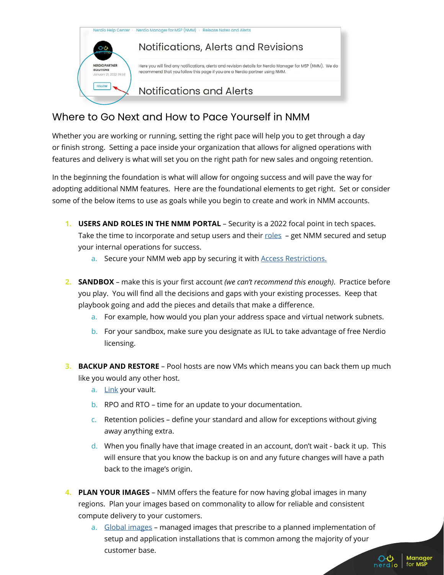

#### Where to Go Next and How to Pace Yourself in NMM

Whether you are working or running, setting the right pace will help you to get through a day or finish strong. Setting a pace inside your organization that allows for aligned operations with features and delivery is what will set you on the right path for new sales and ongoing retention.

In the beginning the foundation is what will allow for ongoing success and will pave the way for adopting additional NMM features. Here are the foundational elements to get right. Set or consider some of the below items to use as goals while you begin to create and work in NMM accounts.

- **1. USERS AND ROLES IN THE NMM PORTAL** Security is a 2022 focal point in tech spaces. Take the time to incorporate and setup users and their [roles](https://help.nerdio.net/hc/en-us/articles/360057195692-NMM-Users-and-Roles-at-the-MSP-level) - get NMM secured and setup your internal operations for success.
	- a. Secure your NMM web app by securing it with **Access Restrictions**.
- **2. SANDBOX** make this is your first account *(we can't recommend this enough)*. Practice before you play. You will find all the decisions and gaps with your existing processes. Keep that playbook going and add the pieces and details that make a difference.
	- a. For example, how would you plan your address space and virtual network subnets.
	- b. For your sandbox, make sure you designate as IUL to take advantage of free Nerdio licensing.
- **3. BACKUP AND RESTORE** Pool hosts are now VMs which means you can back them up much like you would any other host.
	- a. [Link](https://help.nerdio.net/hc/en-us/articles/360058844372-Overview-of-Backups) your vault.
	- b. RPO and RTO time for an update to your documentation.
	- c. Retention policies define your standard and allow for exceptions without giving away anything extra.
	- d. When you finally have that image created in an account, don't wait back it up. This will ensure that you know the backup is on and any future changes will have a path back to the image's origin.
- **4. PLAN YOUR IMAGES** NMM offers the feature for now having global images in many regions. Plan your images based on commonality to allow for reliable and consistent compute delivery to your customers.
	- a. [Global images](https://help.nerdio.net/hc/en-us/articles/360058957551-Overview-of-Global-Images)  managed images that prescribe to a planned implementation of setup and application installations that is common among the majority of your customer base. $\Omega$

Manager

nerdio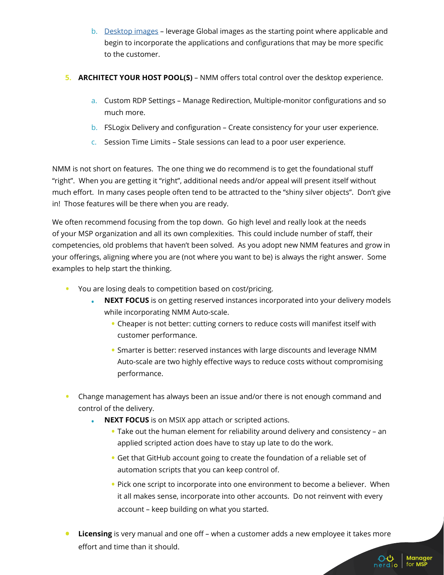- b. [Desktop images](https://help.nerdio.net/hc/en-us/articles/360058710951-Overview-of-Desktop-Images) leverage Global images as the starting point where applicable and begin to incorporate the applications and configurations that may be more specific to the customer.
- **5. ARCHITECT YOUR HOST POOL(S)** NMM offers total control over the desktop experience.
	- a. Custom RDP Settings Manage Redirection, Multiple-monitor configurations and so much more.
	- b. FSLogix Delivery and configuration Create consistency for your user experience.
	- c. Session Time Limits Stale sessions can lead to a poor user experience.

NMM is not short on features. The one thing we do recommend is to get the foundational stuff "right". When you are getting it "right", additional needs and/or appeal will present itself without much effort. In many cases people often tend to be attracted to the "shiny silver objects". Don't give in! Those features will be there when you are ready.

We often recommend focusing from the top down. Go high level and really look at the needs of your MSP organization and all its own complexities. This could include number of staff, their competencies, old problems that haven't been solved. As you adopt new NMM features and grow in your offerings, aligning where you are (not where you want to be) is always the right answer. Some examples to help start the thinking.

- You are losing deals to competition based on cost/pricing.
	- **• NEXT FOCUS** is on getting reserved instances incorporated into your delivery models while incorporating NMM Auto-scale.
		- Cheaper is not better: cutting corners to reduce costs will manifest itself with customer performance.
		- Smarter is better: reserved instances with large discounts and leverage NMM Auto-scale are two highly effective ways to reduce costs without compromising performance.
- Change management has always been an issue and/or there is not enough command and control of the delivery.
	- **• NEXT FOCUS** is on MSIX app attach or scripted actions.
		- Take out the human element for reliability around delivery and consistency an applied scripted action does have to stay up late to do the work.
		- Get that GitHub account going to create the foundation of a reliable set of automation scripts that you can keep control of.
		- Pick one script to incorporate into one environment to become a believer. When it all makes sense, incorporate into other accounts. Do not reinvent with every account – keep building on what you started.
- **• Licensing** is very manual and one off when a customer adds a new employee it takes more effort and time than it should.